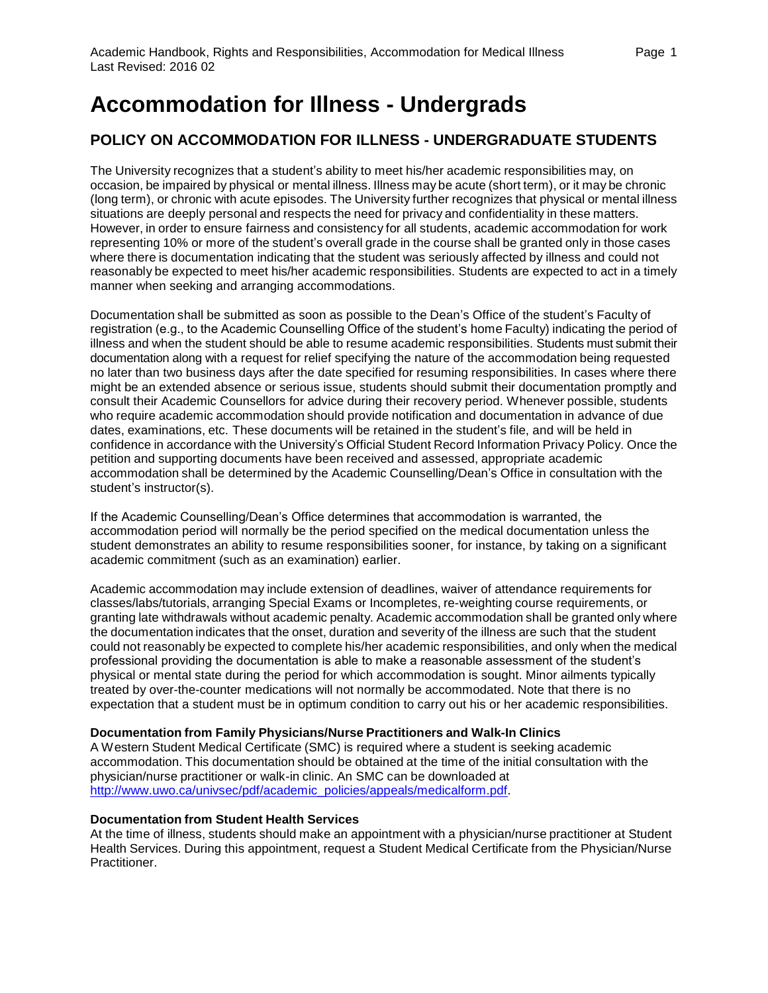# **Accommodation for Illness - Undergrads**

## **POLICY ON ACCOMMODATION FOR ILLNESS - UNDERGRADUATE STUDENTS**

The University recognizes that a student's ability to meet his/her academic responsibilities may, on occasion, be impaired by physical or mental illness. Illness may be acute (short term), or it may be chronic (long term), or chronic with acute episodes. The University further recognizes that physical or mental illness situations are deeply personal and respects the need for privacy and confidentiality in these matters. However, in order to ensure fairness and consistency for all students, academic accommodation for work representing 10% or more of the student's overall grade in the course shall be granted only in those cases where there is documentation indicating that the student was seriously affected by illness and could not reasonably be expected to meet his/her academic responsibilities. Students are expected to act in a timely manner when seeking and arranging accommodations.

Documentation shall be submitted as soon as possible to the Dean's Office of the student's Faculty of registration (e.g., to the Academic Counselling Office of the student's home Faculty) indicating the period of illness and when the student should be able to resume academic responsibilities. Students must submit their documentation along with a request for relief specifying the nature of the accommodation being requested no later than two business days after the date specified for resuming responsibilities. In cases where there might be an extended absence or serious issue, students should submit their documentation promptly and consult their Academic Counsellors for advice during their recovery period. Whenever possible, students who require academic accommodation should provide notification and documentation in advance of due dates, examinations, etc. These documents will be retained in the student's file, and will be held in confidence in accordance with the University's Official Student Record Information Privacy Policy. Once the petition and supporting documents have been received and assessed, appropriate academic accommodation shall be determined by the Academic Counselling/Dean's Office in consultation with the student's instructor(s).

If the Academic Counselling/Dean's Office determines that accommodation is warranted, the accommodation period will normally be the period specified on the medical documentation unless the student demonstrates an ability to resume responsibilities sooner, for instance, by taking on a significant academic commitment (such as an examination) earlier.

Academic accommodation may include extension of deadlines, waiver of attendance requirements for classes/labs/tutorials, arranging Special Exams or Incompletes, re-weighting course requirements, or granting late withdrawals without academic penalty. Academic accommodation shall be granted only where the documentation indicates that the onset, duration and severity of the illness are such that the student could not reasonably be expected to complete his/her academic responsibilities, and only when the medical professional providing the documentation is able to make a reasonable assessment of the student's physical or mental state during the period for which accommodation is sought. Minor ailments typically treated by over-the-counter medications will not normally be accommodated. Note that there is no expectation that a student must be in optimum condition to carry out his or her academic responsibilities.

#### **Documentation from Family Physicians/Nurse Practitioners and Walk-In Clinics**

A Western Student Medical Certificate (SMC) is required where a student is seeking academic accommodation. This documentation should be obtained at the time of the initial consultation with the physician/nurse practitioner or walk-in clinic. An SMC can be downloaded at [http://www.uwo.ca/univsec/pdf/academic\\_policies/appeals/medicalform.pdf.](http://www.uwo.ca/univsec/pdf/academic_policies/appeals/medicalform.pdf)

#### **Documentation from Student Health Services**

At the time of illness, students should make an appointment with a physician/nurse practitioner at Student Health Services. During this appointment, request a Student Medical Certificate from the Physician/Nurse Practitioner.